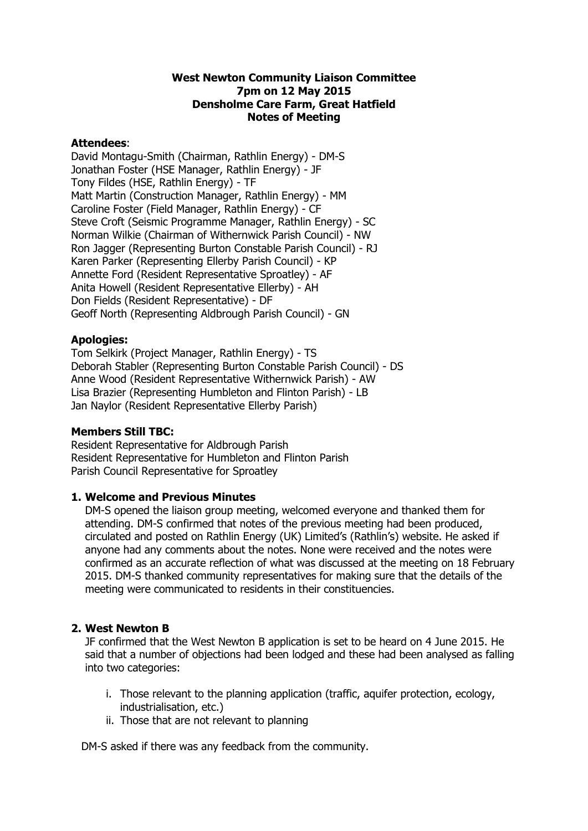# **West Newton Community Liaison Committee 7pm on 12 May 2015 Densholme Care Farm, Great Hatfield Notes of Meeting**

# **Attendees**:

David Montagu-Smith (Chairman, Rathlin Energy) - DM-S Jonathan Foster (HSE Manager, Rathlin Energy) - JF Tony Fildes (HSE, Rathlin Energy) - TF Matt Martin (Construction Manager, Rathlin Energy) - MM Caroline Foster (Field Manager, Rathlin Energy) - CF Steve Croft (Seismic Programme Manager, Rathlin Energy) - SC Norman Wilkie (Chairman of Withernwick Parish Council) - NW Ron Jagger (Representing Burton Constable Parish Council) - RJ Karen Parker (Representing Ellerby Parish Council) - KP Annette Ford (Resident Representative Sproatley) - AF Anita Howell (Resident Representative Ellerby) - AH Don Fields (Resident Representative) - DF Geoff North (Representing Aldbrough Parish Council) - GN

# **Apologies:**

Tom Selkirk (Project Manager, Rathlin Energy) - TS Deborah Stabler (Representing Burton Constable Parish Council) - DS Anne Wood (Resident Representative Withernwick Parish) - AW Lisa Brazier (Representing Humbleton and Flinton Parish) - LB Jan Naylor (Resident Representative Ellerby Parish)

# **Members Still TBC:**

Resident Representative for Aldbrough Parish Resident Representative for Humbleton and Flinton Parish Parish Council Representative for Sproatley

# **1. Welcome and Previous Minutes**

DM-S opened the liaison group meeting, welcomed everyone and thanked them for attending. DM-S confirmed that notes of the previous meeting had been produced, circulated and posted on Rathlin Energy (UK) Limited's (Rathlin's) website. He asked if anyone had any comments about the notes. None were received and the notes were confirmed as an accurate reflection of what was discussed at the meeting on 18 February 2015. DM-S thanked community representatives for making sure that the details of the meeting were communicated to residents in their constituencies.

# **2. West Newton B**

JF confirmed that the West Newton B application is set to be heard on 4 June 2015. He said that a number of objections had been lodged and these had been analysed as falling into two categories:

- i. Those relevant to the planning application (traffic, aquifer protection, ecology, industrialisation, etc.)
- ii. Those that are not relevant to planning

DM-S asked if there was any feedback from the community.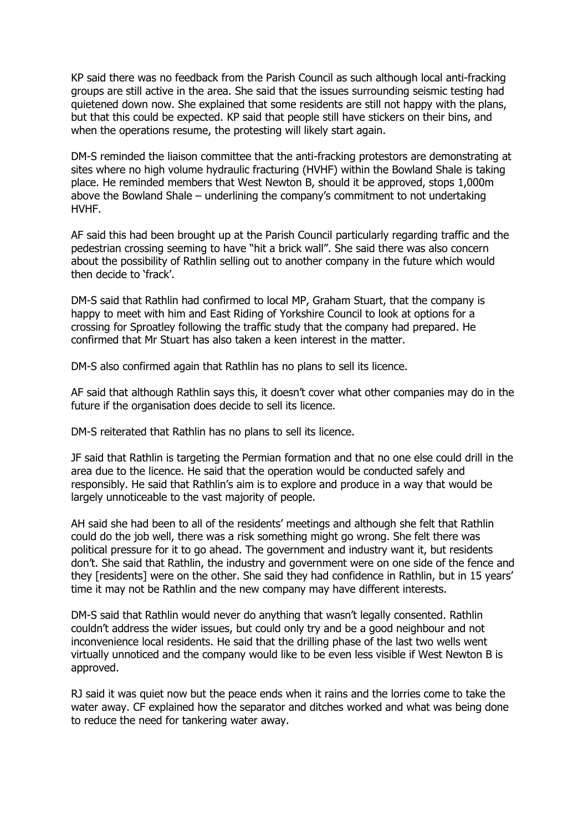KP said there was no feedback from the Parish Council as such although local anti-fracking groups are still active in the area. She said that the issues surrounding seismic testing had quietened down now. She explained that some residents are still not happy with the plans, but that this could be expected. KP said that people still have stickers on their bins, and when the operations resume, the protesting will likely start again.

DM-S reminded the liaison committee that the anti-fracking protestors are demonstrating at sites where no high volume hydraulic fracturing (HVHF) within the Bowland Shale is taking place. He reminded members that West Newton B, should it be approved, stops 1,000m above the Bowland Shale – underlining the company's commitment to not undertaking HVHF.

AF said this had been brought up at the Parish Council particularly regarding traffic and the pedestrian crossing seeming to have "hit a brick wall". She said there was also concern about the possibility of Rathlin selling out to another company in the future which would then decide to 'frack'.

DM-S said that Rathlin had confirmed to local MP, Graham Stuart, that the company is happy to meet with him and East Riding of Yorkshire Council to look at options for a crossing for Sproatley following the traffic study that the company had prepared. He confirmed that Mr Stuart has also taken a keen interest in the matter.

DM-S also confirmed again that Rathlin has no plans to sell its licence.

AF said that although Rathlin says this, it doesn't cover what other companies may do in the future if the organisation does decide to sell its licence.

DM-S reiterated that Rathlin has no plans to sell its licence.

JF said that Rathlin is targeting the Permian formation and that no one else could drill in the area due to the licence. He said that the operation would be conducted safely and responsibly. He said that Rathlin's aim is to explore and produce in a way that would be largely unnoticeable to the vast majority of people.

AH said she had been to all of the residents' meetings and although she felt that Rathlin could do the job well, there was a risk something might go wrong. She felt there was political pressure for it to go ahead. The government and industry want it, but residents don't. She said that Rathlin, the industry and government were on one side of the fence and they [residents] were on the other. She said they had confidence in Rathlin, but in 15 years' time it may not be Rathlin and the new company may have different interests.

DM-S said that Rathlin would never do anything that wasn't legally consented. Rathlin couldn't address the wider issues, but could only try and be a good neighbour and not inconvenience local residents. He said that the drilling phase of the last two wells went virtually unnoticed and the company would like to be even less visible if West Newton B is approved.

RJ said it was quiet now but the peace ends when it rains and the lorries come to take the water away. CF explained how the separator and ditches worked and what was being done to reduce the need for tankering water away.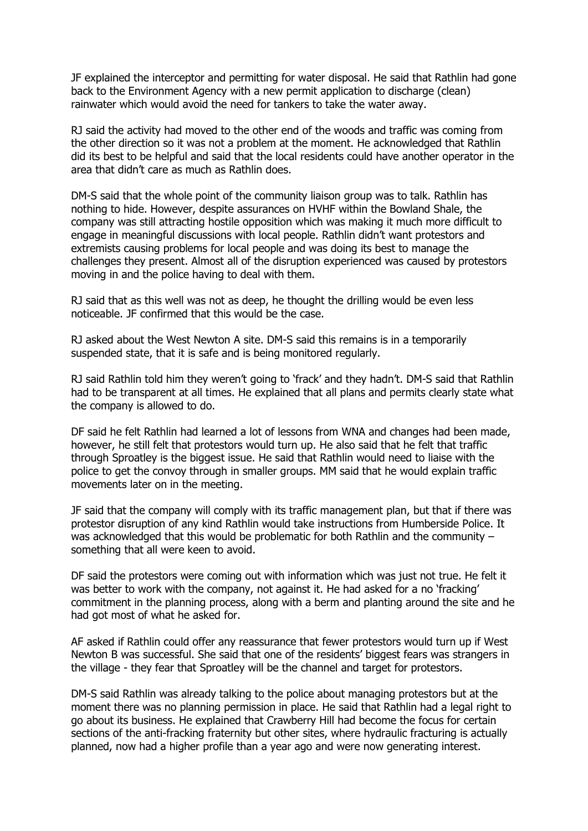JF explained the interceptor and permitting for water disposal. He said that Rathlin had gone back to the Environment Agency with a new permit application to discharge (clean) rainwater which would avoid the need for tankers to take the water away.

RJ said the activity had moved to the other end of the woods and traffic was coming from the other direction so it was not a problem at the moment. He acknowledged that Rathlin did its best to be helpful and said that the local residents could have another operator in the area that didn't care as much as Rathlin does.

DM-S said that the whole point of the community liaison group was to talk. Rathlin has nothing to hide. However, despite assurances on HVHF within the Bowland Shale, the company was still attracting hostile opposition which was making it much more difficult to engage in meaningful discussions with local people. Rathlin didn't want protestors and extremists causing problems for local people and was doing its best to manage the challenges they present. Almost all of the disruption experienced was caused by protestors moving in and the police having to deal with them.

RJ said that as this well was not as deep, he thought the drilling would be even less noticeable. JF confirmed that this would be the case.

RJ asked about the West Newton A site. DM-S said this remains is in a temporarily suspended state, that it is safe and is being monitored regularly.

RJ said Rathlin told him they weren't going to 'frack' and they hadn't. DM-S said that Rathlin had to be transparent at all times. He explained that all plans and permits clearly state what the company is allowed to do.

DF said he felt Rathlin had learned a lot of lessons from WNA and changes had been made, however, he still felt that protestors would turn up. He also said that he felt that traffic through Sproatley is the biggest issue. He said that Rathlin would need to liaise with the police to get the convoy through in smaller groups. MM said that he would explain traffic movements later on in the meeting.

JF said that the company will comply with its traffic management plan, but that if there was protestor disruption of any kind Rathlin would take instructions from Humberside Police. It was acknowledged that this would be problematic for both Rathlin and the community – something that all were keen to avoid.

DF said the protestors were coming out with information which was just not true. He felt it was better to work with the company, not against it. He had asked for a no 'fracking' commitment in the planning process, along with a berm and planting around the site and he had got most of what he asked for.

AF asked if Rathlin could offer any reassurance that fewer protestors would turn up if West Newton B was successful. She said that one of the residents' biggest fears was strangers in the village - they fear that Sproatley will be the channel and target for protestors.

DM-S said Rathlin was already talking to the police about managing protestors but at the moment there was no planning permission in place. He said that Rathlin had a legal right to go about its business. He explained that Crawberry Hill had become the focus for certain sections of the anti-fracking fraternity but other sites, where hydraulic fracturing is actually planned, now had a higher profile than a year ago and were now generating interest.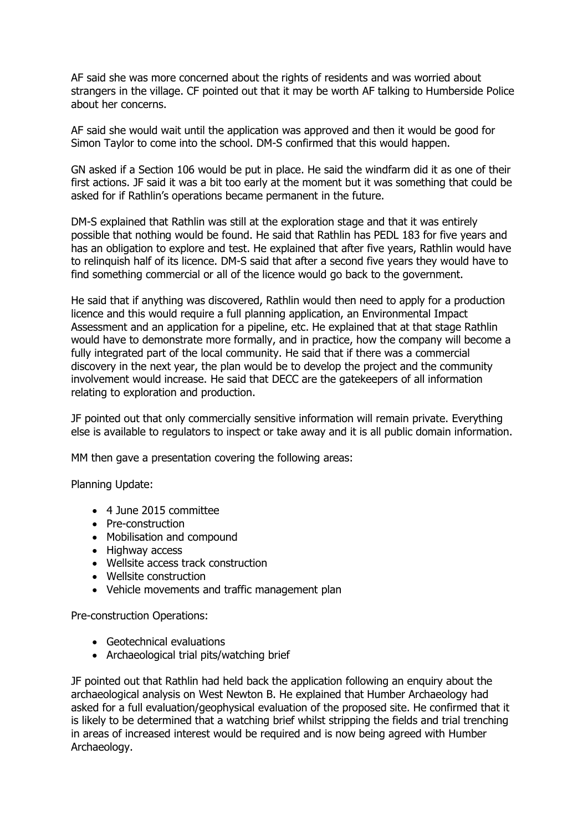AF said she was more concerned about the rights of residents and was worried about strangers in the village. CF pointed out that it may be worth AF talking to Humberside Police about her concerns.

AF said she would wait until the application was approved and then it would be good for Simon Taylor to come into the school. DM-S confirmed that this would happen.

GN asked if a Section 106 would be put in place. He said the windfarm did it as one of their first actions. JF said it was a bit too early at the moment but it was something that could be asked for if Rathlin's operations became permanent in the future.

DM-S explained that Rathlin was still at the exploration stage and that it was entirely possible that nothing would be found. He said that Rathlin has PEDL 183 for five years and has an obligation to explore and test. He explained that after five years, Rathlin would have to relinquish half of its licence. DM-S said that after a second five years they would have to find something commercial or all of the licence would go back to the government.

He said that if anything was discovered, Rathlin would then need to apply for a production licence and this would require a full planning application, an Environmental Impact Assessment and an application for a pipeline, etc. He explained that at that stage Rathlin would have to demonstrate more formally, and in practice, how the company will become a fully integrated part of the local community. He said that if there was a commercial discovery in the next year, the plan would be to develop the project and the community involvement would increase. He said that DECC are the gatekeepers of all information relating to exploration and production.

JF pointed out that only commercially sensitive information will remain private. Everything else is available to regulators to inspect or take away and it is all public domain information.

MM then gave a presentation covering the following areas:

Planning Update:

- 4 June 2015 committee
- Pre-construction
- Mobilisation and compound
- Highway access
- Wellsite access track construction
- Wellsite construction
- Vehicle movements and traffic management plan

Pre-construction Operations:

- Geotechnical evaluations
- Archaeological trial pits/watching brief

JF pointed out that Rathlin had held back the application following an enquiry about the archaeological analysis on West Newton B. He explained that Humber Archaeology had asked for a full evaluation/geophysical evaluation of the proposed site. He confirmed that it is likely to be determined that a watching brief whilst stripping the fields and trial trenching in areas of increased interest would be required and is now being agreed with Humber Archaeology.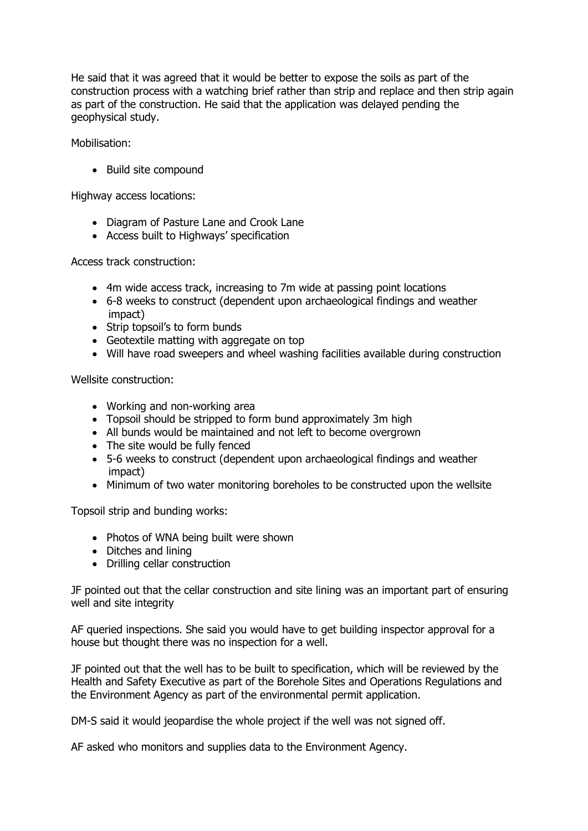He said that it was agreed that it would be better to expose the soils as part of the construction process with a watching brief rather than strip and replace and then strip again as part of the construction. He said that the application was delayed pending the geophysical study.

Mobilisation:

• Build site compound

Highway access locations:

- Diagram of Pasture Lane and Crook Lane
- Access built to Highways' specification

Access track construction:

- 4m wide access track, increasing to 7m wide at passing point locations
- 6-8 weeks to construct (dependent upon archaeological findings and weather impact)
- Strip topsoil's to form bunds
- Geotextile matting with aggregate on top
- Will have road sweepers and wheel washing facilities available during construction

Wellsite construction:

- Working and non-working area
- Topsoil should be stripped to form bund approximately 3m high
- All bunds would be maintained and not left to become overgrown
- The site would be fully fenced
- 5-6 weeks to construct (dependent upon archaeological findings and weather impact)
- Minimum of two water monitoring boreholes to be constructed upon the wellsite

Topsoil strip and bunding works:

- Photos of WNA being built were shown
- Ditches and lining
- Drilling cellar construction

JF pointed out that the cellar construction and site lining was an important part of ensuring well and site integrity

AF queried inspections. She said you would have to get building inspector approval for a house but thought there was no inspection for a well.

JF pointed out that the well has to be built to specification, which will be reviewed by the Health and Safety Executive as part of the Borehole Sites and Operations Regulations and the Environment Agency as part of the environmental permit application.

DM-S said it would jeopardise the whole project if the well was not signed off.

AF asked who monitors and supplies data to the Environment Agency.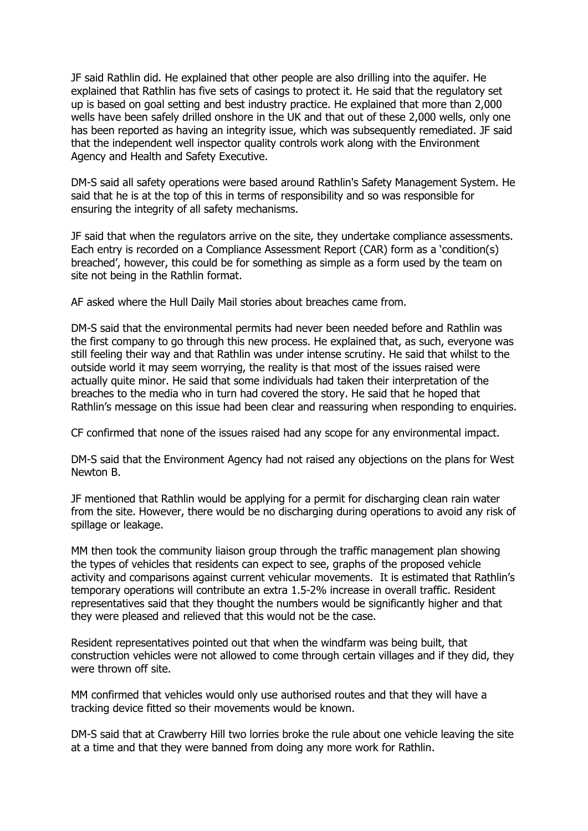JF said Rathlin did. He explained that other people are also drilling into the aquifer. He explained that Rathlin has five sets of casings to protect it. He said that the regulatory set up is based on goal setting and best industry practice. He explained that more than 2,000 wells have been safely drilled onshore in the UK and that out of these 2,000 wells, only one has been reported as having an integrity issue, which was subsequently remediated. JF said that the independent well inspector quality controls work along with the Environment Agency and Health and Safety Executive.

DM-S said all safety operations were based around Rathlin's Safety Management System. He said that he is at the top of this in terms of responsibility and so was responsible for ensuring the integrity of all safety mechanisms.

JF said that when the regulators arrive on the site, they undertake compliance assessments. Each entry is recorded on a Compliance Assessment Report (CAR) form as a 'condition(s) breached', however, this could be for something as simple as a form used by the team on site not being in the Rathlin format.

AF asked where the Hull Daily Mail stories about breaches came from.

DM-S said that the environmental permits had never been needed before and Rathlin was the first company to go through this new process. He explained that, as such, everyone was still feeling their way and that Rathlin was under intense scrutiny. He said that whilst to the outside world it may seem worrying, the reality is that most of the issues raised were actually quite minor. He said that some individuals had taken their interpretation of the breaches to the media who in turn had covered the story. He said that he hoped that Rathlin's message on this issue had been clear and reassuring when responding to enquiries.

CF confirmed that none of the issues raised had any scope for any environmental impact.

DM-S said that the Environment Agency had not raised any objections on the plans for West Newton B.

JF mentioned that Rathlin would be applying for a permit for discharging clean rain water from the site. However, there would be no discharging during operations to avoid any risk of spillage or leakage.

MM then took the community liaison group through the traffic management plan showing the types of vehicles that residents can expect to see, graphs of the proposed vehicle activity and comparisons against current vehicular movements. It is estimated that Rathlin's temporary operations will contribute an extra 1.5-2% increase in overall traffic. Resident representatives said that they thought the numbers would be significantly higher and that they were pleased and relieved that this would not be the case.

Resident representatives pointed out that when the windfarm was being built, that construction vehicles were not allowed to come through certain villages and if they did, they were thrown off site.

MM confirmed that vehicles would only use authorised routes and that they will have a tracking device fitted so their movements would be known.

DM-S said that at Crawberry Hill two lorries broke the rule about one vehicle leaving the site at a time and that they were banned from doing any more work for Rathlin.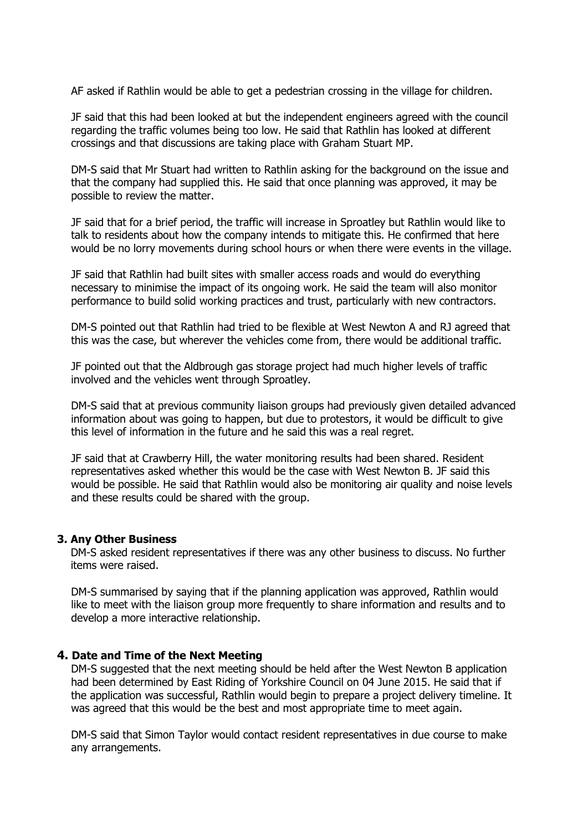AF asked if Rathlin would be able to get a pedestrian crossing in the village for children.

JF said that this had been looked at but the independent engineers agreed with the council regarding the traffic volumes being too low. He said that Rathlin has looked at different crossings and that discussions are taking place with Graham Stuart MP.

DM-S said that Mr Stuart had written to Rathlin asking for the background on the issue and that the company had supplied this. He said that once planning was approved, it may be possible to review the matter.

JF said that for a brief period, the traffic will increase in Sproatley but Rathlin would like to talk to residents about how the company intends to mitigate this. He confirmed that here would be no lorry movements during school hours or when there were events in the village.

JF said that Rathlin had built sites with smaller access roads and would do everything necessary to minimise the impact of its ongoing work. He said the team will also monitor performance to build solid working practices and trust, particularly with new contractors.

DM-S pointed out that Rathlin had tried to be flexible at West Newton A and RJ agreed that this was the case, but wherever the vehicles come from, there would be additional traffic.

JF pointed out that the Aldbrough gas storage project had much higher levels of traffic involved and the vehicles went through Sproatley.

DM-S said that at previous community liaison groups had previously given detailed advanced information about was going to happen, but due to protestors, it would be difficult to give this level of information in the future and he said this was a real regret.

JF said that at Crawberry Hill, the water monitoring results had been shared. Resident representatives asked whether this would be the case with West Newton B. JF said this would be possible. He said that Rathlin would also be monitoring air quality and noise levels and these results could be shared with the group.

#### **3. Any Other Business**

 DM-S asked resident representatives if there was any other business to discuss. No further items were raised.

DM-S summarised by saying that if the planning application was approved, Rathlin would like to meet with the liaison group more frequently to share information and results and to develop a more interactive relationship.

#### **4. Date and Time of the Next Meeting**

DM-S suggested that the next meeting should be held after the West Newton B application had been determined by East Riding of Yorkshire Council on 04 June 2015. He said that if the application was successful, Rathlin would begin to prepare a project delivery timeline. It was agreed that this would be the best and most appropriate time to meet again.

DM-S said that Simon Taylor would contact resident representatives in due course to make any arrangements.